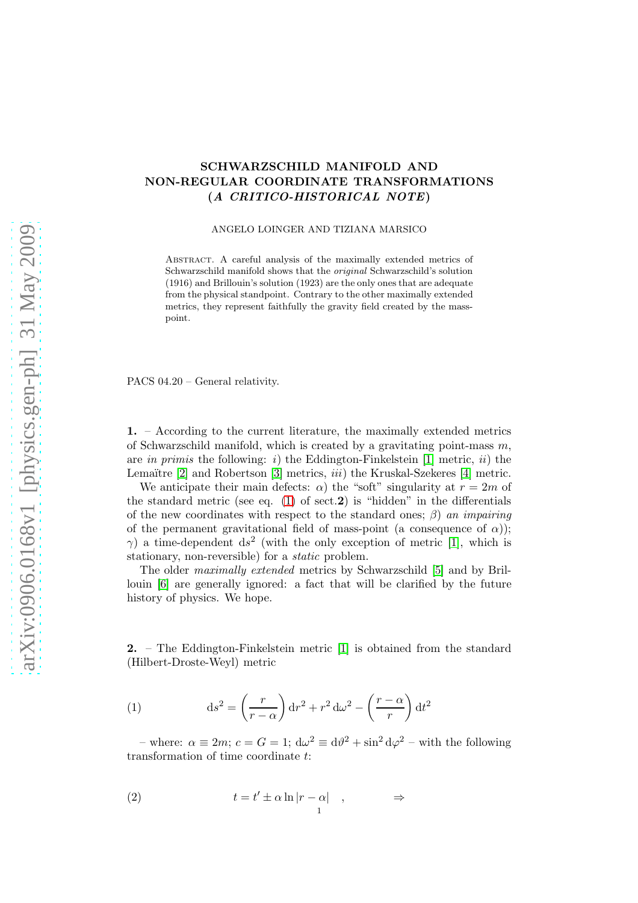## SCHWARZSCHILD MANIFOLD AND NON-REGULAR COORDINATE TRANSFORMATIONS (A CRITICO-HISTORICAL NOTE)

## ANGELO LOINGER AND TIZIANA MARSICO

Abstract. A careful analysis of the maximally extended metrics of Schwarzschild manifold shows that the *original* Schwarzschild's solution (1916) and Brillouin's solution (1923) are the only ones that are adequate from the physical standpoint. Contrary to the other maximally extended metrics, they represent faithfully the gravity field created by the masspoint.

PACS 04.20 – General relativity.

1. – According to the current literature, the maximally extended metrics of Schwarzschild manifold, which is created by a gravitating point-mass  $m$ . are in primis the following: i) the Eddington-Finkelstein [\[1\]](#page-8-0) metric, ii) the Lemaïtre  $[2]$  and Robertson  $[3]$  metrics, *iii*) the Kruskal-Szekeres  $[4]$  metric.

We anticipate their main defects:  $\alpha$ ) the "soft" singularity at  $r = 2m$  of the standard metric (see eq.  $(1)$  of sect. 2) is "hidden" in the differentials of the new coordinates with respect to the standard ones;  $\beta$ ) an impairing of the permanent gravitational field of mass-point (a consequence of  $\alpha$ ));  $\gamma$ ) a time-dependent ds<sup>2</sup> (with the only exception of metric [\[1\]](#page-8-0), which is stationary, non-reversible) for a static problem.

The older maximally extended metrics by Schwarzschild [\[5\]](#page-8-4) and by Brillouin [\[6\]](#page-8-5) are generally ignored: a fact that will be clarified by the future history of physics. We hope.

2. – The Eddington-Finkelstein metric [\[1\]](#page-8-0) is obtained from the standard (Hilbert-Droste-Weyl) metric

<span id="page-0-0"></span>(1) 
$$
ds^{2} = \left(\frac{r}{r-\alpha}\right) dr^{2} + r^{2} d\omega^{2} - \left(\frac{r-\alpha}{r}\right) dt^{2}
$$

– where:  $\alpha \equiv 2m$ ;  $c = G = 1$ ;  $d\omega^2 \equiv d\theta^2 + \sin^2 d\varphi^2$  – with the following transformation of time coordinate t:

<span id="page-0-1"></span>(2) 
$$
t = t' \pm \alpha \ln|r - \alpha| \quad , \qquad \Rightarrow
$$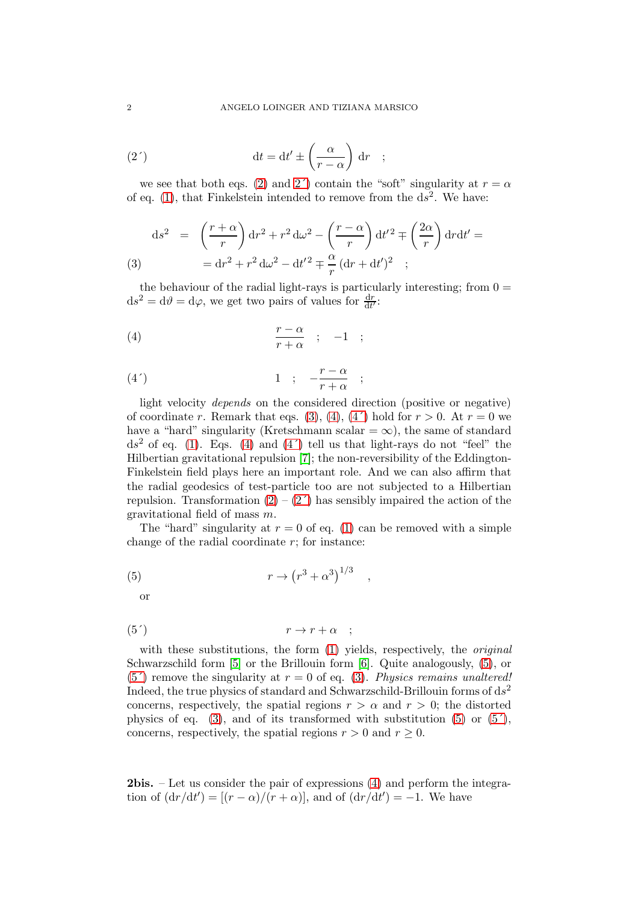<span id="page-1-0"></span>(2') 
$$
\mathrm{d}t = \mathrm{d}t' \pm \left(\frac{\alpha}{r - \alpha}\right) \mathrm{d}r ;
$$

we see that both eqs. [\(2\)](#page-0-1) and 2<sup>'</sup>) contain the "soft" singularity at  $r = \alpha$ of eq. [\(1\)](#page-0-0), that Finkelstein intended to remove from the  $d\overline{s}^2$ . We have:

<span id="page-1-1"></span>(3) 
$$
ds^{2} = \left(\frac{r+\alpha}{r}\right)dr^{2} + r^{2} d\omega^{2} - \left(\frac{r-\alpha}{r}\right)dt'^{2} \mp \left(\frac{2\alpha}{r}\right) dr dt' =
$$

$$
= dr^{2} + r^{2} d\omega^{2} - dt'^{2} \mp \frac{\alpha}{r} (dr + dt')^{2} ;
$$

the behaviour of the radial light-rays is particularly interesting; from  $0 =$  $ds^2 = d\theta = d\varphi$ , we get two pairs of values for  $\frac{dr}{dt'}$ :

<span id="page-1-2"></span>
$$
(4) \qquad \qquad \frac{r-\alpha}{r+\alpha} \quad ; \quad -1 \quad ;
$$

<span id="page-1-3"></span>
$$
(4') \qquad \qquad 1 \quad ; \quad -\frac{r-\alpha}{r+\alpha} \quad ;
$$

light velocity depends on the considered direction (positive or negative) of coordinate r. Remark that eqs. [\(3\)](#page-1-1), [\(4\)](#page-1-2), (4') hold for  $r > 0$ . At  $r = 0$  we have a "hard" singularity (Kretschmann scalar =  $\infty$ ), the same of standard  $ds^2$  of eq. [\(1\)](#page-0-0). Eqs. [\(4\)](#page-1-2) and (4') tell us that light-rays do not "feel" the Hilbertian gravitational repulsion [\[7\]](#page-8-6); the non-reversibility of the Eddington-Finkelstein field plays here an important role. And we can also affirm that the radial geodesics of test-particle too are not subjected to a Hilbertian repulsion. Transformation  $(2) - (2')$  has sensibly impaired the action of the gravitational field of mass m.

The "hard" singularity at  $r = 0$  of eq. [\(1\)](#page-0-0) can be removed with a simple change of the radial coordinate  $r$ ; for instance:

<span id="page-1-4"></span>,

$$
(5) \t\t\t r \to (r^3 + \alpha^3)^{1/3}
$$

or

<span id="page-1-5"></span>
$$
(5') \t\t\t r \to r + \alpha ;
$$

with these substitutions, the form  $(1)$  yields, respectively, the *original* Schwarzschild form [\[5\]](#page-8-4) or the Brillouin form [\[6\]](#page-8-5). Quite analogously, [\(5\)](#page-1-4), or (5<sup> $\prime$ </sup>) remove the singularity at  $r = 0$  of eq. [\(3\)](#page-1-1). Physics remains unaltered! Indeed, the true physics of standard and Schwarzschild-Brillouin forms of  $ds^2$ concerns, respectively, the spatial regions  $r > \alpha$  and  $r > 0$ ; the distorted physics of eq. [\(3\)](#page-1-1), and of its transformed with substitution  $(5)$  or  $(5')$ , concerns, respectively, the spatial regions  $r > 0$  and  $r \geq 0$ .

2bis. – Let us consider the pair of expressions [\(4\)](#page-1-2) and perform the integration of  $\left(\frac{dr}{dt'}\right) = \left[\frac{r - \alpha}{r + \alpha}\right]$ , and of  $\left(\frac{dr}{dt'}\right) = -1$ . We have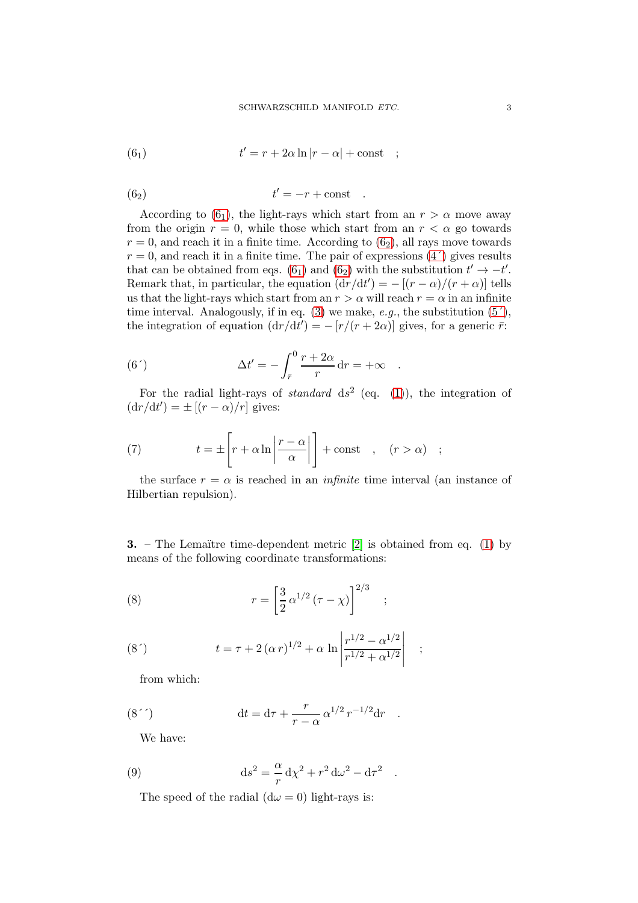<span id="page-2-0"></span>(6<sub>1</sub>) 
$$
t' = r + 2\alpha \ln|r - \alpha| + \text{const} ;
$$

<span id="page-2-1"></span>
$$
(6_2) \t t' = -r + const.
$$

According to  $(6_1)$ , the light-rays which start from an  $r > \alpha$  move away from the origin  $r = 0$ , while those which start from an  $r < \alpha$  go towards  $r = 0$ , and reach it in a finite time. According to  $(6<sub>2</sub>)$ , all rays move towards  $r = 0$ , and reach it in a finite time. The pair of expressions  $(4')$  gives results that can be obtained from eqs.  $(6_1)$  and  $(6_2)$  with the substitution  $t' \rightarrow -t'$ . Remark that, in particular, the equation  $(\mathrm{d}r/\mathrm{d}t') = -[(r-\alpha)/(r+\alpha)]$  tells us that the light-rays which start from an  $r > \alpha$  will reach  $r = \alpha$  in an infinite time interval. Analogously, if in eq. [\(3\)](#page-1-1) we make, e.g., the substitution  $(5<sup>′</sup>)$ , the integration of equation  $(\mathrm{d}r/\mathrm{d}t') = -\left[r/(r+2\alpha)\right]$  gives, for a generic  $\vec{r}$ :

(6') 
$$
\Delta t' = -\int_{\bar{r}}^0 \frac{r+2\alpha}{r} dr = +\infty .
$$

For the radial light-rays of *standard*  $ds^2$  (eq. [\(1\)](#page-0-0)), the integration of  $(\mathrm{d}r/\mathrm{d}t') = \pm [(r - \alpha)/r]$  gives:

<span id="page-2-2"></span>(7) 
$$
t = \pm \left[ r + \alpha \ln \left| \frac{r - \alpha}{\alpha} \right| \right] + \text{const} , \quad (r > \alpha) ;
$$

the surface  $r = \alpha$  is reached in an *infinite* time interval (an instance of Hilbertian repulsion).

**3.** – The Lemaïtre time-dependent metric  $[2]$  is obtained from eq. [\(1\)](#page-0-0) by means of the following coordinate transformations:

(8) 
$$
r = \left[\frac{3}{2} \alpha^{1/2} (\tau - \chi)\right]^{2/3} ;
$$

(8') 
$$
t = \tau + 2(\alpha r)^{1/2} + \alpha \ln \left| \frac{r^{1/2} - \alpha^{1/2}}{r^{1/2} + \alpha^{1/2}} \right| ;
$$

from which:

(8'') 
$$
dt = d\tau + \frac{r}{r - \alpha} \alpha^{1/2} r^{-1/2} dr .
$$

We have:

(9) 
$$
\mathrm{d}s^2 = -\frac{\alpha}{r} \mathrm{d}\chi^2 + r^2 \mathrm{d}\omega^2 - \mathrm{d}\tau^2.
$$

<span id="page-2-3"></span>The speed of the radial  $(d\omega = 0)$  light-rays is: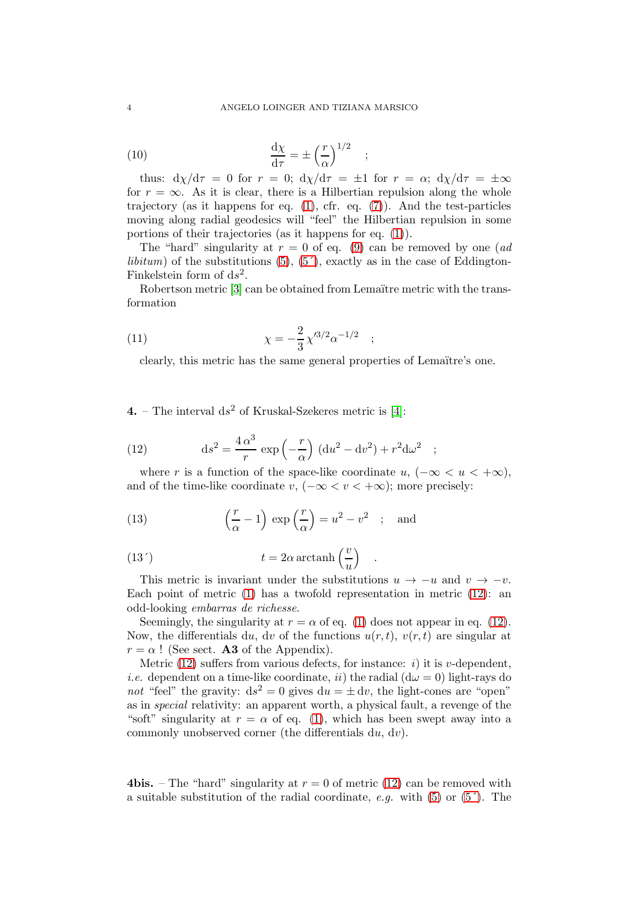;

(10) 
$$
\frac{\mathrm{d}\chi}{\mathrm{d}\tau} = \pm \left(\frac{r}{\alpha}\right)^{1/2}
$$

thus:  $dy/d\tau = 0$  for  $r = 0$ ;  $dy/d\tau = \pm 1$  for  $r = \alpha$ ;  $dy/d\tau = \pm \infty$ for  $r = \infty$ . As it is clear, there is a Hilbertian repulsion along the whole trajectory (as it happens for eq.  $(1)$ , cfr. eq.  $(7)$ ). And the test-particles moving along radial geodesics will "feel" the Hilbertian repulsion in some portions of their trajectories (as it happens for eq. [\(1\)](#page-0-0)).

The "hard" singularity at  $r = 0$  of eq. [\(9\)](#page-2-3) can be removed by one (*ad libitum*) of the substitutions  $(5)$ ,  $(5')$ , exactly as in the case of Eddington-Finkelstein form of  $ds^2$ .

Robertson metric [\[3\]](#page-8-2) can be obtained from Lemaïtre metric with the transformation

(11) 
$$
\chi = -\frac{2}{3} \chi^{3/2} \alpha^{-1/2} ;
$$

clearly, this metric has the same general properties of Lemaïtre's one.

**4.** – The interval  $ds^2$  of Kruskal-Szekeres metric is [\[4\]](#page-8-3):

<span id="page-3-0"></span>(12) 
$$
ds^{2} = \frac{4\alpha^{3}}{r} \exp\left(-\frac{r}{\alpha}\right) (du^{2} - dv^{2}) + r^{2} d\omega^{2}
$$

where r is a function of the space-like coordinate u,  $(-\infty < u < +\infty)$ , and of the time-like coordinate v,  $(-\infty < v < +\infty)$ ; more precisely:

;

(13) 
$$
\left(\frac{r}{\alpha} - 1\right) \exp\left(\frac{r}{\alpha}\right) = u^2 - v^2
$$
; and

<span id="page-3-1"></span>(13') 
$$
t = 2\alpha \arctanh\left(\frac{v}{u}\right) .
$$

This metric is invariant under the substitutions  $u \to -u$  and  $v \to -v$ . Each point of metric [\(1\)](#page-0-0) has a twofold representation in metric [\(12\)](#page-3-0): an odd-looking embarras de richesse.

Seemingly, the singularity at  $r = \alpha$  of eq. [\(1\)](#page-0-0) does not appear in eq. [\(12\)](#page-3-0). Now, the differentials du, dv of the functions  $u(r, t)$ ,  $v(r, t)$  are singular at  $r = \alpha$ ! (See sect. **A3** of the Appendix).

Metric [\(12\)](#page-3-0) suffers from various defects, for instance: *i*) it is *v*-dependent, *i.e.* dependent on a time-like coordinate, *ii*) the radial  $(d\omega = 0)$  light-rays do not "feel" the gravity:  $ds^2 = 0$  gives  $du = \pm dv$ , the light-cones are "open" as in special relativity: an apparent worth, a physical fault, a revenge of the "soft" singularity at  $r = \alpha$  of eq. [\(1\)](#page-0-0), which has been swept away into a commonly unobserved corner (the differentials du, dv).

4bis. – The "hard" singularity at  $r = 0$  of metric [\(12\)](#page-3-0) can be removed with a suitable substitution of the radial coordinate, e.g. with  $(5)$  or  $(5')$ . The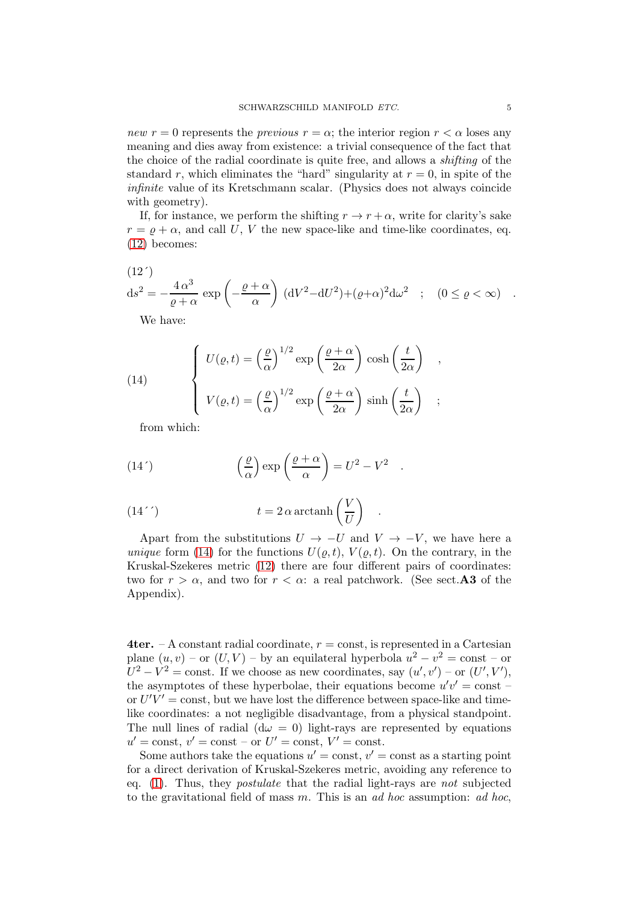new  $r = 0$  represents the *previous*  $r = \alpha$ ; the interior region  $r < \alpha$  loses any meaning and dies away from existence: a trivial consequence of the fact that the choice of the radial coordinate is quite free, and allows a shifting of the standard r, which eliminates the "hard" singularity at  $r = 0$ , in spite of the infinite value of its Kretschmann scalar. (Physics does not always coincide with geometry).

If, for instance, we perform the shifting  $r \to r + \alpha$ , write for clarity's sake  $r = \rho + \alpha$ , and call U, V the new space-like and time-like coordinates, eq. [\(12\)](#page-3-0) becomes:

(12')  
\n
$$
ds^{2} = -\frac{4\alpha^{3}}{\varrho + \alpha} \exp\left(-\frac{\varrho + \alpha}{\alpha}\right) (dV^{2} - dU^{2}) + (\varrho + \alpha)^{2} d\omega^{2} \quad ; \quad (0 \leq \varrho < \infty) \quad .
$$

We have:

<span id="page-4-0"></span>(14) 
$$
\begin{cases} U(\varrho, t) = \left(\frac{\varrho}{\alpha}\right)^{1/2} \exp\left(\frac{\varrho + \alpha}{2\alpha}\right) \cosh\left(\frac{t}{2\alpha}\right) ,\\ V(\varrho, t) = \left(\frac{\varrho}{\alpha}\right)^{1/2} \exp\left(\frac{\varrho + \alpha}{2\alpha}\right) \sinh\left(\frac{t}{2\alpha}\right) ; \end{cases}
$$

from which:

(14') 
$$
\left(\frac{\varrho}{\alpha}\right) \exp\left(\frac{\varrho+\alpha}{\alpha}\right) = U^2 - V^2
$$

(14'') 
$$
t = 2 \alpha \arctanh\left(\frac{V}{U}\right) .
$$

Apart from the substitutions  $U \rightarrow -U$  and  $V \rightarrow -V$ , we have here a unique form [\(14\)](#page-4-0) for the functions  $U(\rho, t)$ ,  $V(\rho, t)$ . On the contrary, in the Kruskal-Szekeres metric [\(12\)](#page-3-0) there are four different pairs of coordinates: two for  $r > \alpha$ , and two for  $r < \alpha$ : a real patchwork. (See sect. **A3** of the Appendix).

.

**4ter.** – A constant radial coordinate,  $r =$  const, is represented in a Cartesian plane  $(u, v)$  – or  $(U, V)$  – by an equilateral hyperbola  $u^2 - v^2 = \text{const}$  – or  $U^2 - V^2 = \text{const.}$  If we choose as new coordinates, say  $(u', v') - \text{or } (U', V'),$ the asymptotes of these hyperbolae, their equations become  $u'v' = \text{const}$ or  $U'V' = \text{const}$ , but we have lost the difference between space-like and timelike coordinates: a not negligible disadvantage, from a physical standpoint. The null lines of radial  $(d\omega = 0)$  light-rays are represented by equations  $u' = \text{const}, v' = \text{const} - \text{or } U' = \text{const}, V' = \text{const}.$ 

Some authors take the equations  $u' = \text{const}, v' = \text{const}$  as a starting point for a direct derivation of Kruskal-Szekeres metric, avoiding any reference to eq. [\(1\)](#page-0-0). Thus, they postulate that the radial light-rays are not subjected to the gravitational field of mass m. This is an ad hoc assumption: ad hoc,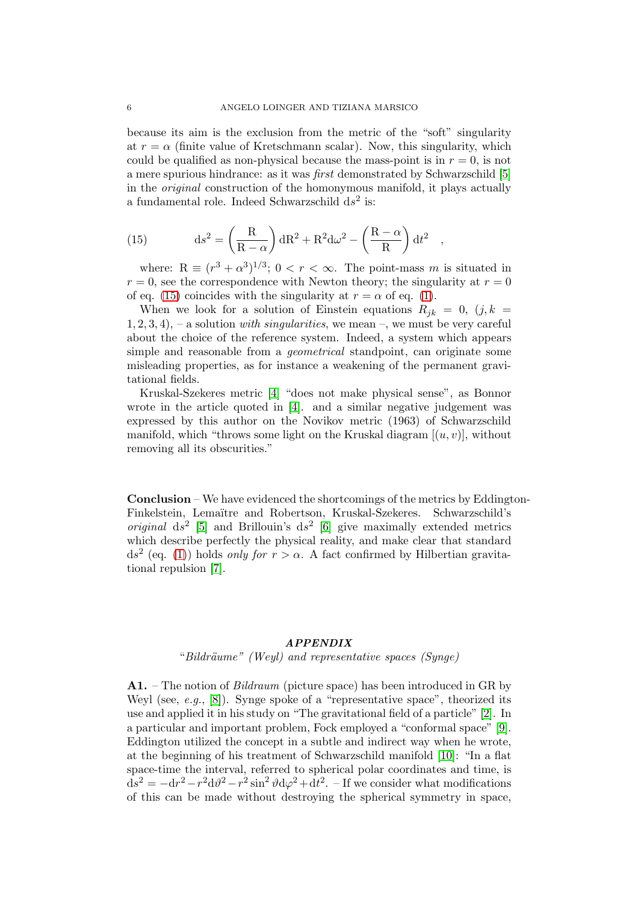because its aim is the exclusion from the metric of the "soft" singularity at  $r = \alpha$  (finite value of Kretschmann scalar). Now, this singularity, which could be qualified as non-physical because the mass-point is in  $r = 0$ , is not a mere spurious hindrance: as it was first demonstrated by Schwarzschild [\[5\]](#page-8-4) in the original construction of the homonymous manifold, it plays actually a fundamental role. Indeed Schwarzschild  $ds^2$  is:

<span id="page-5-0"></span>(15) 
$$
ds^{2} = \left(\frac{R}{R-\alpha}\right) dR^{2} + R^{2} d\omega^{2} - \left(\frac{R-\alpha}{R}\right) dt^{2} ,
$$

where:  $R \equiv (r^3 + \alpha^3)^{1/3}$ ;  $0 < r < \infty$ . The point-mass m is situated in  $r = 0$ , see the correspondence with Newton theory; the singularity at  $r = 0$ of eq. [\(15\)](#page-5-0) coincides with the singularity at  $r = \alpha$  of eq. [\(1\)](#page-0-0).

When we look for a solution of Einstein equations  $R_{ik} = 0$ ,  $(j, k = 1)$  $1, 2, 3, 4$ ,  $-$  a solution *with singularities*, we mean  $-$ , we must be very careful about the choice of the reference system. Indeed, a system which appears simple and reasonable from a *geometrical* standpoint, can originate some misleading properties, as for instance a weakening of the permanent gravitational fields.

Kruskal-Szekeres metric [\[4\]](#page-8-3) "does not make physical sense", as Bonnor wrote in the article quoted in [\[4\]](#page-8-3). and a similar negative judgement was expressed by this author on the Novikov metric (1963) of Schwarzschild manifold, which "throws some light on the Kruskal diagram  $[(u, v)]$ , without removing all its obscurities."

Conclusion – We have evidenced the shortcomings of the metrics by Eddington-Finkelstein, Lemaïtre and Robertson, Kruskal-Szekeres. Schwarzschild's *original*  $ds^2$  [\[5\]](#page-8-4) and Brillouin's  $ds^2$  [\[6\]](#page-8-5) give maximally extended metrics which describe perfectly the physical reality, and make clear that standard  $ds^2$  (eq. [\(1\)](#page-0-0)) holds only for  $r > \alpha$ . A fact confirmed by Hilbertian gravitational repulsion [\[7\]](#page-8-6).

## APPENDIX

"Bildräume" (Weyl) and representative spaces (Synge)

A1. – The notion of Bildraum (picture space) has been introduced in GR by Weyl (see, e.g., [\[8\]](#page-8-7)). Synge spoke of a "representative space", theorized its use and applied it in his study on "The gravitational field of a particle" [\[2\]](#page-8-1). In a particular and important problem, Fock employed a "conformal space" [\[9\]](#page-8-8). Eddington utilized the concept in a subtle and indirect way when he wrote, at the beginning of his treatment of Schwarzschild manifold [\[10\]](#page-8-9): "In a flat space-time the interval, referred to spherical polar coordinates and time, is  $ds^{2} = -dr^{2}-r^{2}d\theta^{2}-r^{2}\sin^{2}\theta d\varphi^{2}+dt^{2}$ . – If we consider what modifications of this can be made without destroying the spherical symmetry in space,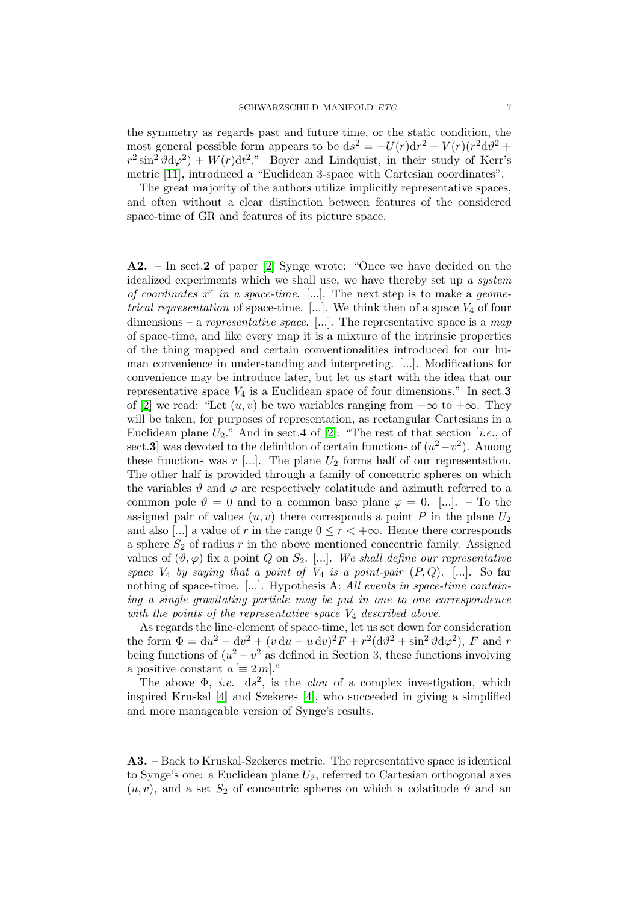the symmetry as regards past and future time, or the static condition, the most general possible form appears to be  $ds^2 = -U(r)dr^2 - V(r)(r^2d\vartheta^2 +$  $r^2 \sin^2 \theta d\varphi^2$  +  $W(r)dt^2$ ." Boyer and Lindquist, in their study of Kerr's metric [\[11\]](#page-8-10), introduced a "Euclidean 3-space with Cartesian coordinates".

The great majority of the authors utilize implicitly representative spaces, and often without a clear distinction between features of the considered space-time of GR and features of its picture space.

A2. – In sect.2 of paper [\[2\]](#page-8-1) Synge wrote: "Once we have decided on the idealized experiments which we shall use, we have thereby set up a system of coordinates  $x^r$  in a space-time. [...]. The next step is to make a geometrical representation of space-time. [...]. We think then of a space  $V_4$  of four dimensions – a representative space. [...]. The representative space is a map of space-time, and like every map it is a mixture of the intrinsic properties of the thing mapped and certain conventionalities introduced for our human convenience in understanding and interpreting. [...]. Modifications for convenience may be introduce later, but let us start with the idea that our representative space  $V_4$  is a Euclidean space of four dimensions." In sect.3 of [\[2\]](#page-8-1) we read: "Let  $(u, v)$  be two variables ranging from  $-\infty$  to  $+\infty$ . They will be taken, for purposes of representation, as rectangular Cartesians in a Euclidean plane  $U_2$ ." And in sect.4 of [\[2\]](#page-8-1): "The rest of that section [i.e., of sect.3] was devoted to the definition of certain functions of  $(u^2 - v^2)$ . Among these functions was  $r$  [...]. The plane  $U_2$  forms half of our representation. The other half is provided through a family of concentric spheres on which the variables  $\vartheta$  and  $\varphi$  are respectively colatitude and azimuth referred to a common pole  $\vartheta = 0$  and to a common base plane  $\varphi = 0$ . [...]. – To the assigned pair of values  $(u, v)$  there corresponds a point P in the plane  $U_2$ and also [...] a value of r in the range  $0 \leq r < +\infty$ . Hence there corresponds a sphere  $S_2$  of radius r in the above mentioned concentric family. Assigned values of  $(\vartheta, \varphi)$  fix a point Q on  $S_2$ . [...]. We shall define our representative space  $V_4$  by saying that a point of  $V_4$  is a point-pair  $(P,Q)$ . [...]. So far nothing of space-time.  $[\ldots]$ . Hypothesis A: All events in space-time containing a single gravitating particle may be put in one to one correspondence with the points of the representative space  $V_4$  described above.

As regards the line-element of space-time, let us set down for consideration the form  $\Phi = du^2 - dv^2 + (v du - u dv)^2 F + r^2 (dv^2 + \sin^2 \theta d\varphi^2)$ , F and r being functions of  $(u^2 - v^2)$  as defined in Section 3, these functions involving a positive constant  $a \equiv 2 m$ ."

The above  $\Phi$ , *i.e.* ds<sup>2</sup>, is the *clou* of a complex investigation, which inspired Kruskal [\[4\]](#page-8-3) and Szekeres [\[4\]](#page-8-3), who succeeded in giving a simplified and more manageable version of Synge's results.

A3. – Back to Kruskal-Szekeres metric. The representative space is identical to Synge's one: a Euclidean plane  $U_2$ , referred to Cartesian orthogonal axes  $(u, v)$ , and a set  $S_2$  of concentric spheres on which a colatitude  $\vartheta$  and an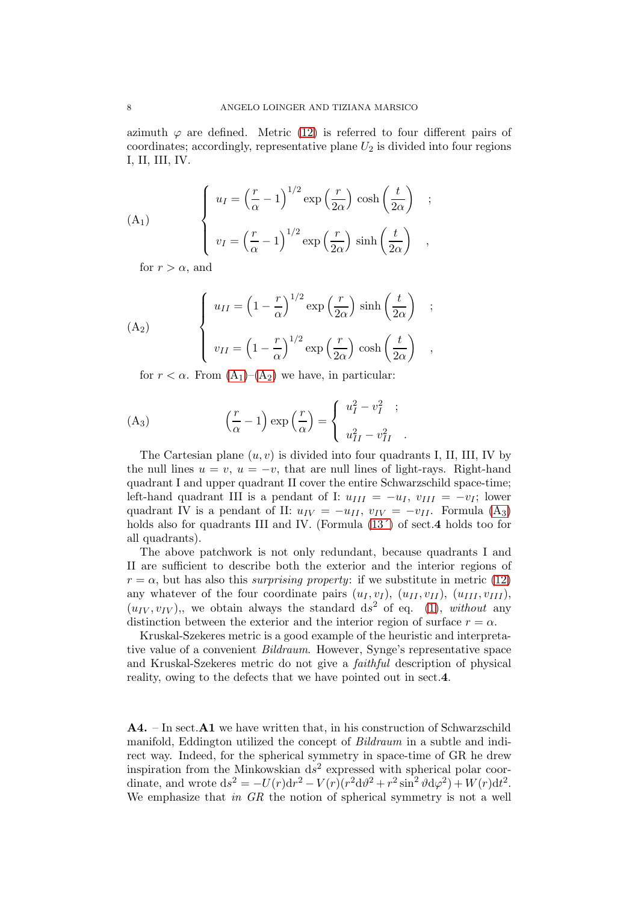azimuth  $\varphi$  are defined. Metric [\(12\)](#page-3-0) is referred to four different pairs of coordinates; accordingly, representative plane  $U_2$  is divided into four regions I, II, III, IV.

<span id="page-7-0"></span>(A<sub>1</sub>) 
$$
\begin{cases} u_I = \left(\frac{r}{\alpha} - 1\right)^{1/2} \exp\left(\frac{r}{2\alpha}\right) \cosh\left(\frac{t}{2\alpha}\right) \\ v_I = \left(\frac{r}{\alpha} - 1\right)^{1/2} \exp\left(\frac{r}{2\alpha}\right) \sinh\left(\frac{t}{2\alpha}\right) \end{cases}
$$

for  $r > \alpha$ , and

<span id="page-7-1"></span>(A<sub>2</sub>) 
$$
\begin{cases} u_{II} = \left(1 - \frac{r}{\alpha}\right)^{1/2} \exp\left(\frac{r}{2\alpha}\right) \sinh\left(\frac{t}{2\alpha}\right) \\ v_{II} = \left(1 - \frac{r}{\alpha}\right)^{1/2} \exp\left(\frac{r}{2\alpha}\right) \cosh\left(\frac{t}{2\alpha}\right) \end{cases}
$$

for  $r < \alpha$ . From  $(A_1)$  $(A_1)$ – $(A_2)$  we have, in particular:

<span id="page-7-2"></span>(A<sub>3</sub>) 
$$
\left(\frac{r}{\alpha} - 1\right) \exp\left(\frac{r}{\alpha}\right) = \begin{cases} u_I^2 - v_I^2 & ; \\ u_{II}^2 - v_{II}^2 & . \end{cases}
$$

The Cartesian plane  $(u, v)$  is divided into four quadrants I, II, III, IV by the null lines  $u = v$ ,  $u = -v$ , that are null lines of light-rays. Right-hand quadrant I and upper quadrant II cover the entire Schwarzschild space-time; left-hand quadrant III is a pendant of I:  $u_{III} = -u_I$ ,  $v_{III} = -v_I$ ; lower quadrant IV is a pendant of II:  $u_{IV} = -u_{II}$ ,  $v_{IV} = -v_{II}$ . Formula  $(A_3)$ holds also for quadrants III and IV. (Formula  $(13')$  of sect.4 holds too for all quadrants).

The above patchwork is not only redundant, because quadrants I and II are sufficient to describe both the exterior and the interior regions of  $r = \alpha$ , but has also this surprising property: if we substitute in metric [\(12\)](#page-3-0) any whatever of the four coordinate pairs  $(u_I, v_I)$ ,  $(u_{II}, v_{II})$ ,  $(u_{III}, v_{III})$ ,  $(u_{IV}, v_{IV})$ , we obtain always the standard ds<sup>2</sup> of eq. [\(1\)](#page-0-0), without any distinction between the exterior and the interior region of surface  $r = \alpha$ .

Kruskal-Szekeres metric is a good example of the heuristic and interpretative value of a convenient Bildraum. However, Synge's representative space and Kruskal-Szekeres metric do not give a faithful description of physical reality, owing to the defects that we have pointed out in sect.4.

 $\mathbf{A4.}$  – In sect. $\mathbf{A1}$  we have written that, in his construction of Schwarzschild manifold, Eddington utilized the concept of *Bildraum* in a subtle and indirect way. Indeed, for the spherical symmetry in space-time of GR he drew inspiration from the Minkowskian  $d\dot{s}^2$  expressed with spherical polar coordinate, and wrote  $ds^2 = -U(r)dr^2 - V(r)(r^2d\vartheta^2 + r^2\sin^2\vartheta d\varphi^2) + W(r)dt^2$ . We emphasize that in  $GR$  the notion of spherical symmetry is not a well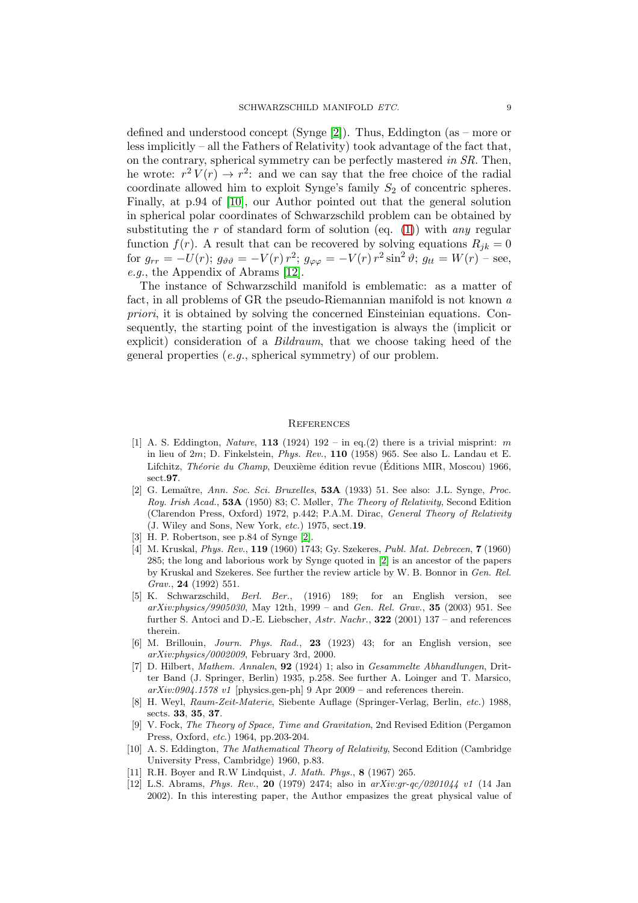defined and understood concept (Synge [\[2\]](#page-8-1)). Thus, Eddington (as – more or less implicitly – all the Fathers of Relativity) took advantage of the fact that, on the contrary, spherical symmetry can be perfectly mastered in SR. Then, he wrote:  $r^2 V(r) \rightarrow r^2$ : and we can say that the free choice of the radial coordinate allowed him to exploit Synge's family  $S_2$  of concentric spheres. Finally, at p.94 of [\[10\]](#page-8-9), our Author pointed out that the general solution in spherical polar coordinates of Schwarzschild problem can be obtained by substituting the r of standard form of solution (eq. [\(1\)](#page-0-0)) with any regular function  $f(r)$ . A result that can be recovered by solving equations  $R_{jk} = 0$ for  $g_{rr} = -U(r)$ ;  $g_{\vartheta\vartheta} = -V(r) r^2$ ;  $g_{\varphi\varphi} = -V(r) r^2 \sin^2 \vartheta$ ;  $g_{tt} = W(r) - \text{see}$ , e.g., the Appendix of Abrams [\[12\]](#page-8-11).

The instance of Schwarzschild manifold is emblematic: as a matter of fact, in all problems of GR the pseudo-Riemannian manifold is not known a priori, it is obtained by solving the concerned Einsteinian equations. Consequently, the starting point of the investigation is always the (implicit or explicit) consideration of a Bildraum, that we choose taking heed of the general properties (e.g., spherical symmetry) of our problem.

## **REFERENCES**

- <span id="page-8-0"></span>[1] A. S. Eddington, *Nature*, 113 (1924) 192 – in eq.(2) there is a trivial misprint: m in lieu of 2m; D. Finkelstein, *Phys. Rev.*, 110 (1958) 965. See also L. Landau et E. Lifchitz, *Théorie du Champ*, Deuxième édition revue (Éditions MIR, Moscou) 1966, sect.97.
- <span id="page-8-1"></span>[2] G. Lema¨ıtre, *Ann. Soc. Sci. Bruxelles*, 53A (1933) 51. See also: J.L. Synge, *Proc. Roy. Irish Acad.*, 53A (1950) 83; C. Møller, *The Theory of Relativity*, Second Edition (Clarendon Press, Oxford) 1972, p.442; P.A.M. Dirac, *General Theory of Relativity* (J. Wiley and Sons, New York, *etc.*) 1975, sect.19.
- <span id="page-8-3"></span><span id="page-8-2"></span>[3] H. P. Robertson, see p.84 of Synge [\[2\]](#page-8-1).
- [4] M. Kruskal, *Phys. Rev.*, 119 (1960) 1743; Gy. Szekeres, *Publ. Mat. Debrecen*, 7 (1960) 285; the long and laborious work by Synge quoted in [\[2\]](#page-8-1) is an ancestor of the papers by Kruskal and Szekeres. See further the review article by W. B. Bonnor in *Gen. Rel. Grav.*, 24 (1992) 551.
- <span id="page-8-4"></span>[5] K. Schwarzschild, *Berl. Ber.*, (1916) 189; for an English version, see *arXiv:physics/9905030*, May 12th, 1999 – and *Gen. Rel. Grav.*, 35 (2003) 951. See further S. Antoci and D.-E. Liebscher, *Astr. Nachr.*, 322 (2001) 137 – and references therein.
- <span id="page-8-5"></span>[6] M. Brillouin, *Journ. Phys. Rad.*, 23 (1923) 43; for an English version, see *arXiv:physics/0002009*, February 3rd, 2000.
- <span id="page-8-6"></span>[7] D. Hilbert, *Mathem. Annalen*, 92 (1924) 1; also in *Gesammelte Abhandlungen*, Dritter Band (J. Springer, Berlin) 1935, p.258. See further A. Loinger and T. Marsico, *arXiv:0904.1578 v1* [physics.gen-ph] 9 Apr 2009 – and references therein.
- <span id="page-8-7"></span>[8] H. Weyl, *Raum-Zeit-Materie*, Siebente Auflage (Springer-Verlag, Berlin, *etc.*) 1988, sects. 33, 35, 37.
- <span id="page-8-8"></span>[9] V. Fock, *The Theory of Space, Time and Gravitation*, 2nd Revised Edition (Pergamon Press, Oxford, *etc*.) 1964, pp.203-204.
- <span id="page-8-9"></span>[10] A. S. Eddington, *The Mathematical Theory of Relativity*, Second Edition (Cambridge University Press, Cambridge) 1960, p.83.
- <span id="page-8-11"></span><span id="page-8-10"></span>[11] R.H. Boyer and R.W Lindquist, *J. Math. Phys.*, 8 (1967) 265.
- [12] L.S. Abrams, *Phys. Rev.*, 20 (1979) 2474; also in *arXiv:gr-qc/0201044 v1* (14 Jan 2002). In this interesting paper, the Author empasizes the great physical value of